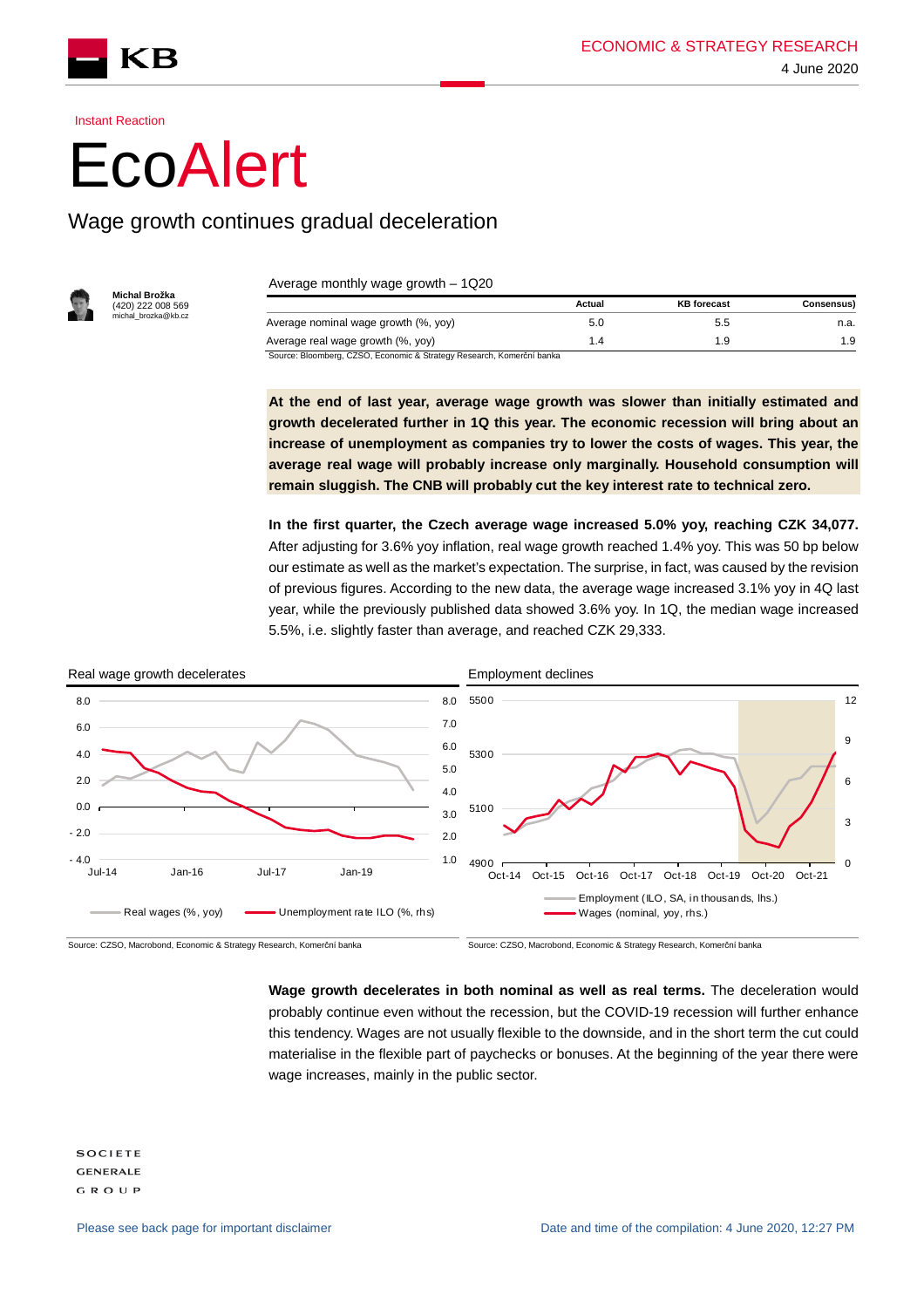

**Actual KB forecast Consensus)**

Instant Reaction

## **EcoAlert**

## Wage growth continues gradual deceleration



**Michal Brožka**  (420) 222 008 569 michal\_brozka@kb.cz

Average monthly wage growth – 1Q20

| Average nominal wage growth (%, yoy) |  | n.a. |
|--------------------------------------|--|------|
| Average real wage growth (%, yoy)    |  |      |

Source: Bloomberg, CZSO, Economic & Strategy Research, Komerční banka

**At the end of last year, average wage growth was slower than initially estimated and growth decelerated further in 1Q this year. The economic recession will bring about an increase of unemployment as companies try to lower the costs of wages. This year, the average real wage will probably increase only marginally. Household consumption will remain sluggish. The CNB will probably cut the key interest rate to technical zero.**

**In the first quarter, the Czech average wage increased 5.0% yoy, reaching CZK 34,077.**  After adjusting for 3.6% yoy inflation, real wage growth reached 1.4% yoy. This was 50 bp below our estimate as well as the market's expectation. The surprise, in fact, was caused by the revision of previous figures. According to the new data, the average wage increased 3.1% yoy in 4Q last year, while the previously published data showed 3.6% yoy. In 1Q, the median wage increased 5.5%, i.e. slightly faster than average, and reached CZK 29,333.



Source: CZSO, Macrobond, Economic & Strategy Research, Komerční banka Source: CZSO, Macrobond, Economic & Strategy Research, Komerční banka

**Wage growth decelerates in both nominal as well as real terms.** The deceleration would probably continue even without the recession, but the COVID-19 recession will further enhance this tendency. Wages are not usually flexible to the downside, and in the short term the cut could materialise in the flexible part of paychecks or bonuses. At the beginning of the year there were wage increases, mainly in the public sector.

**SOCIETE GENERALE GROUP**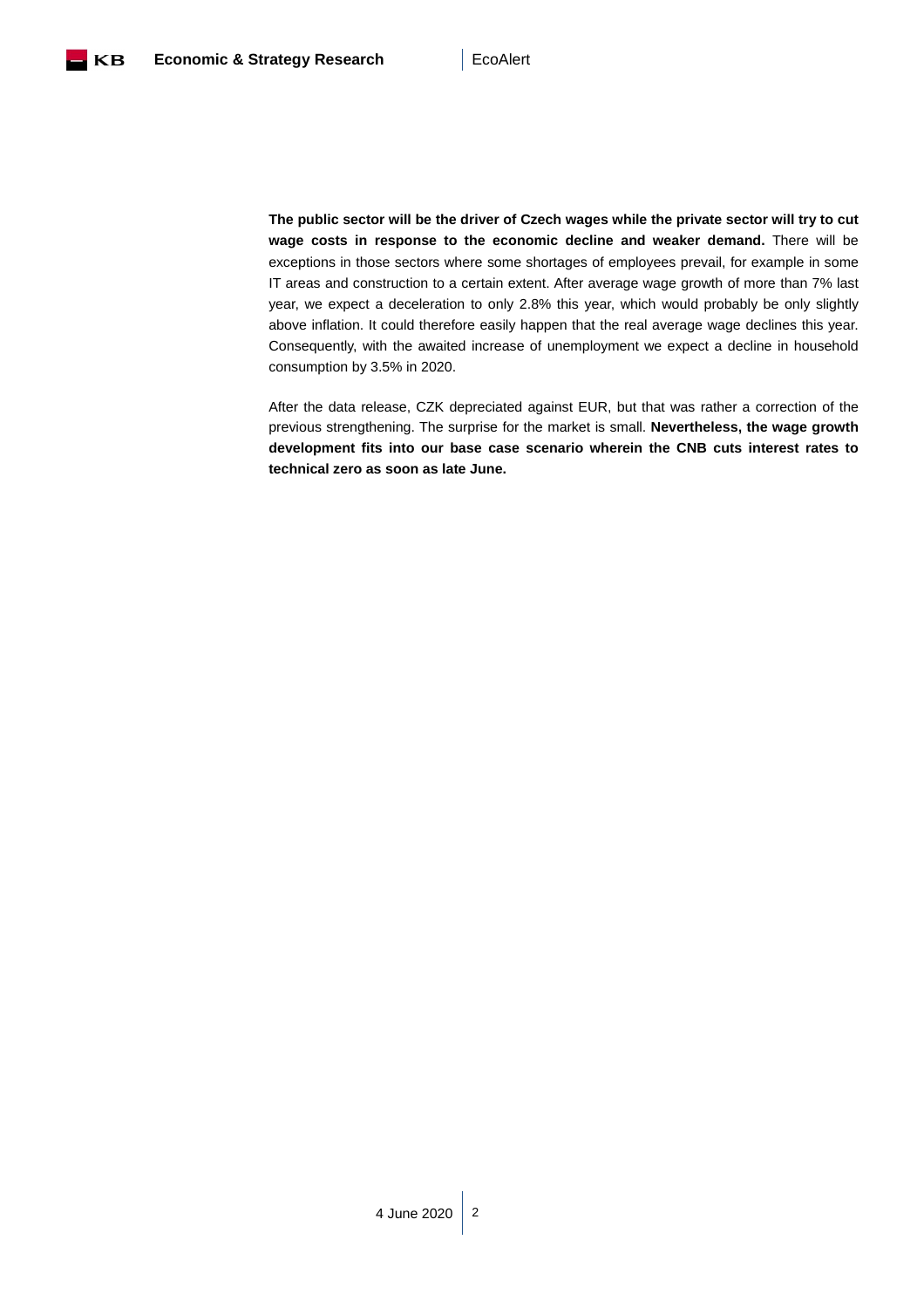**The public sector will be the driver of Czech wages while the private sector will try to cut wage costs in response to the economic decline and weaker demand.** There will be exceptions in those sectors where some shortages of employees prevail, for example in some IT areas and construction to a certain extent. After average wage growth of more than 7% last year, we expect a deceleration to only 2.8% this year, which would probably be only slightly above inflation. It could therefore easily happen that the real average wage declines this year. Consequently, with the awaited increase of unemployment we expect a decline in household consumption by 3.5% in 2020.

After the data release, CZK depreciated against EUR, but that was rather a correction of the previous strengthening. The surprise for the market is small. **Nevertheless, the wage growth development fits into our base case scenario wherein the CNB cuts interest rates to technical zero as soon as late June.**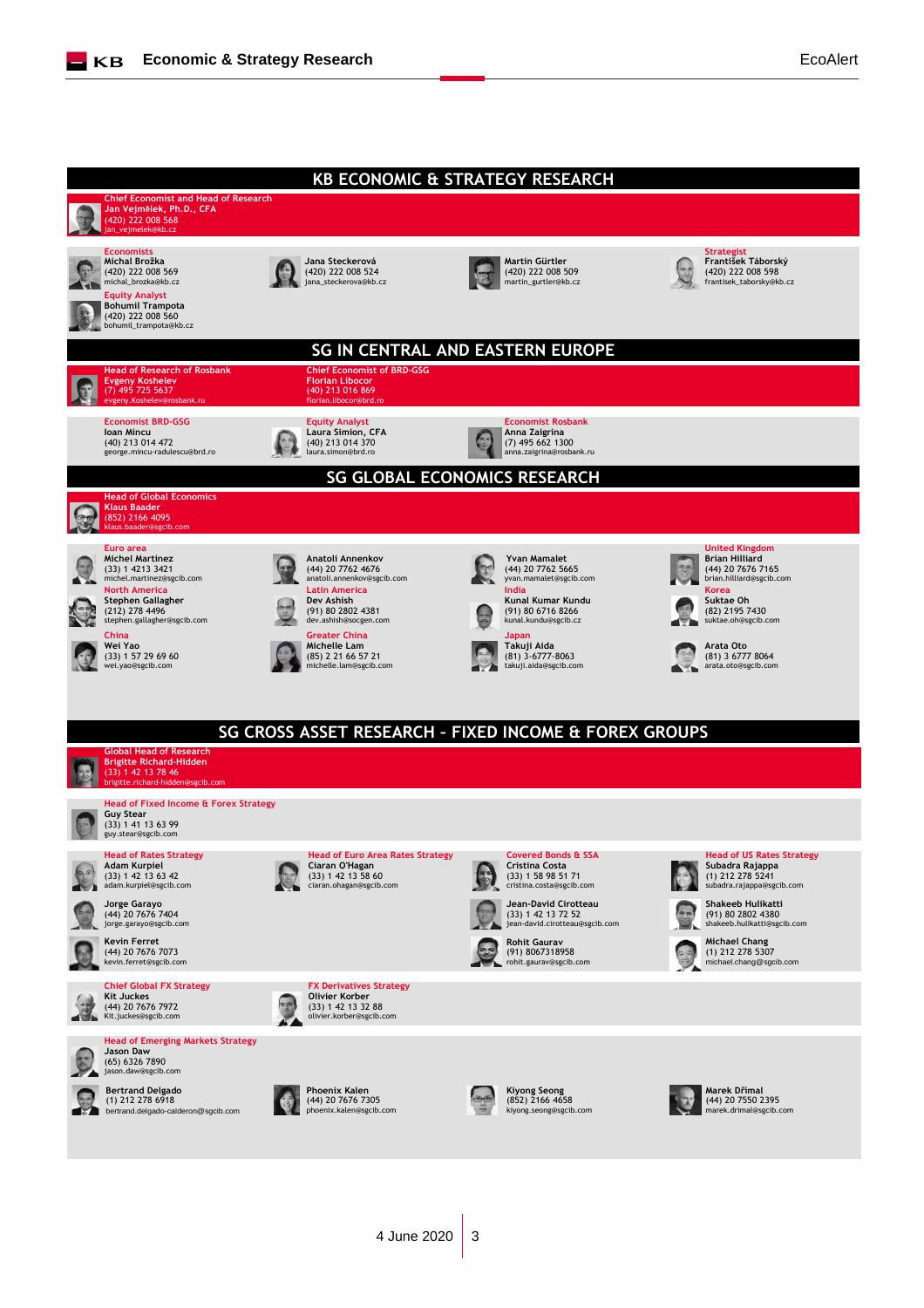